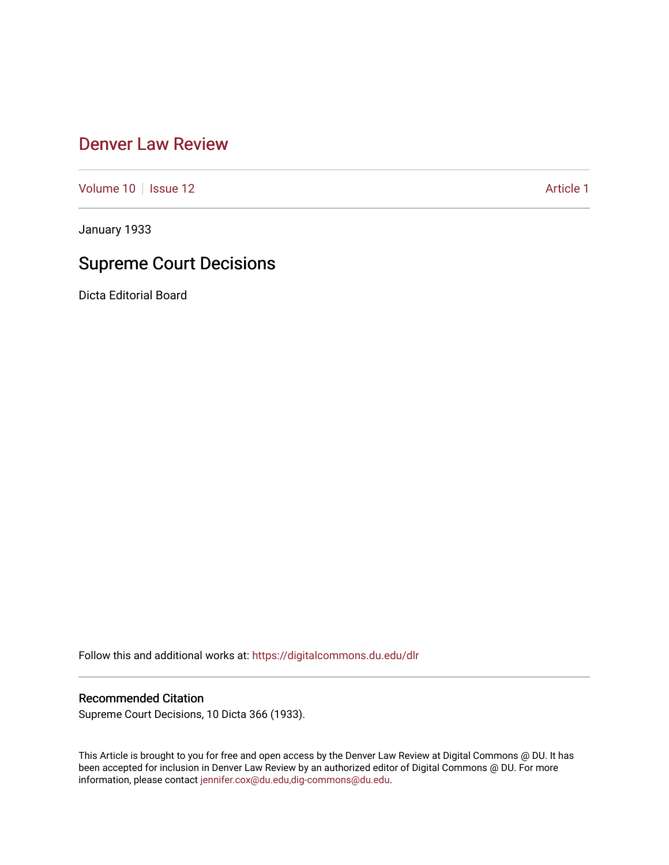### [Denver Law Review](https://digitalcommons.du.edu/dlr)

[Volume 10](https://digitalcommons.du.edu/dlr/vol10) | [Issue 12](https://digitalcommons.du.edu/dlr/vol10/iss12) Article 1

January 1933

# Supreme Court Decisions

Dicta Editorial Board

Follow this and additional works at: [https://digitalcommons.du.edu/dlr](https://digitalcommons.du.edu/dlr?utm_source=digitalcommons.du.edu%2Fdlr%2Fvol10%2Fiss12%2F1&utm_medium=PDF&utm_campaign=PDFCoverPages) 

### Recommended Citation

Supreme Court Decisions, 10 Dicta 366 (1933).

This Article is brought to you for free and open access by the Denver Law Review at Digital Commons @ DU. It has been accepted for inclusion in Denver Law Review by an authorized editor of Digital Commons @ DU. For more information, please contact [jennifer.cox@du.edu,dig-commons@du.edu.](mailto:jennifer.cox@du.edu,dig-commons@du.edu)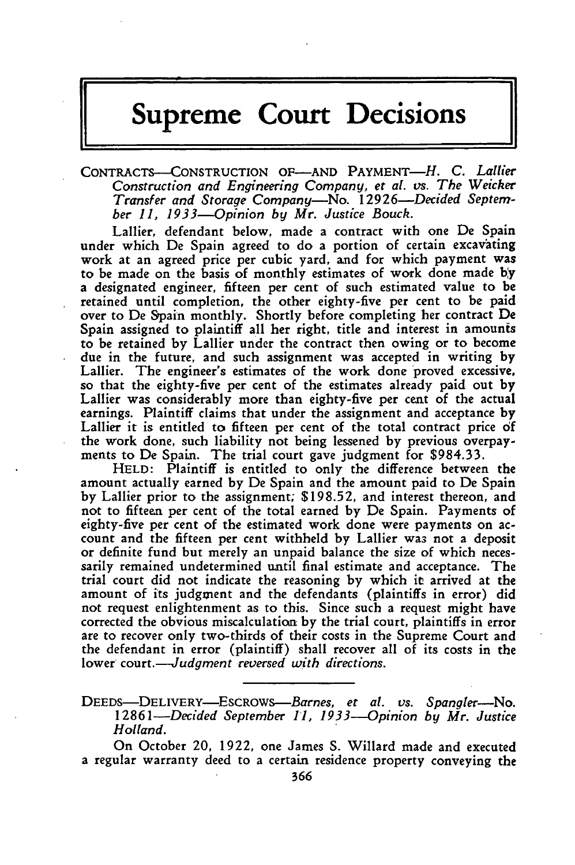# **Supreme Court Decisions**

CONTRACTS--CONSTRUCTION OF-AND PAYMENT-H. **C.** *Lallier Construction and Engineering Company, et a[. vs. The Weicker Transfer and Storage Company-No. 12926-Decided September 11, 1933--Opinion by Mr. Justice Bouch.*

Lallier, defendant below, made a contract with one De Spain under which De Spain agreed to do a portion of certain excavating work at an agreed price per cubic yard, and for which payment was to be made on the basis of monthly estimates of work done made **by** a designated engineer, fifteen per cent of such estimated value to be retained until completion, the other eighty-five per cent to be paid over to De Spain monthly. Shortly before completing her contract De Spain assigned to plaintiff all her right, title and interest in amounts to be retained by Lallier under the contract then owing or to become due in the future, and such assignment was accepted in writing by Lallier. The engineer's estimates of the work done proved excessive, so that the eighty-five per cent of the estimates already paid out **by** Lallier was considerably more than eighty-five per cent of the actual earnings. Plaintiff claims that under the assignment and acceptance **by** Lallier it is entitled to fifteen per cent of the total contract price **of** the work done, such liability not being lessened by previous overpayments to De Spain. The trial court gave judgment for \$984.33.

HELD: Plaintiff is entitled to only the difference between the amount actually earned by De Spain and the amount paid to De Spain **by** Lallier prior to the assignment; \$198.52, and interest thereon, and not to fifteen per cent of the total earned by De Spain. Payments of eighty-five per cent of the estimated work done were payments on account and the fifteen per cent withheld **by** Lallier wa3 not a deposit or definite fund but merely an unpaid balance the size of which necessarily remained undetermined until final estimate and acceptance. The trial court did not indicate the reasoning by which it arrived at the amount of its judgment and the defendants (plaintiffs in error) dic not request enlightenment as to this. Since such a request might have corrected the obvious miscalculation **by** the trial court, plaintiffs in error are to recover only two-thirds of their costs in the Supreme Court and the defendant in error (plaintiff) shall recover all of its costs in the lower court.-*-Judgment reversed with directions*.

DEEDS-DELIVERY-ESCROWS--Barnes, *et al. vs. Spangler-No.* 12861 *-Decided September 11, 1933--Opinion by Mr. Justice Holland.*

On October 20, 1922, one James S. Willard made and executed a regular warranty deed to a certain residence property conveying the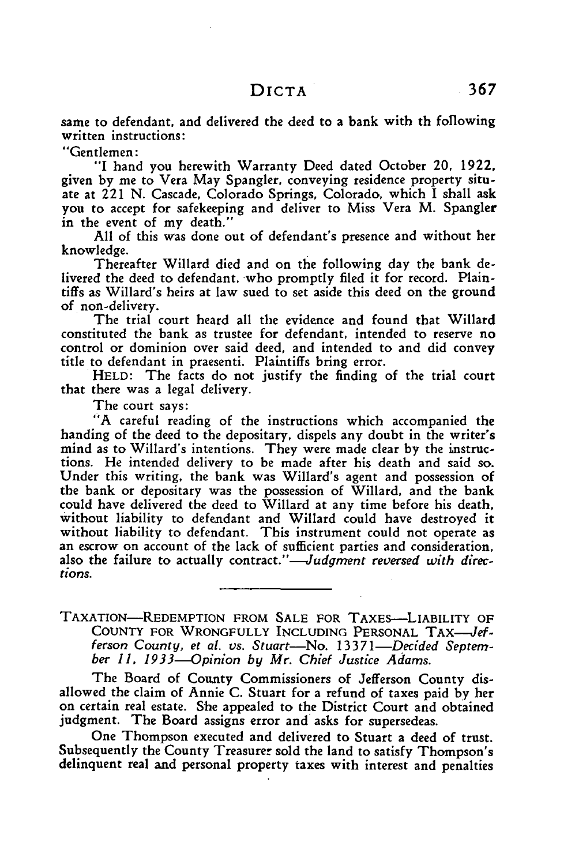same to defendant, and delivered the deed to a bank with th foflowing written instructions:

"Gentlemen:

"I hand you herewith Warranty Deed dated October 20, 1922, given **by** me to Vera May Spangler, conveying residence property situate at 221 **N.** Cascade, Colorado Springs, Colorado, which I shall ask you to accept for safekeeping and deliver to Miss Vera M. Spangler in the event of my death."

All of this was done out of defendant's presence and without her knowledge.

Thereafter Willard died and on the following day the bank delivered the deed to defendant, who promptly filed it for record. Plaintiffs as Willard's heirs at law sued to set aside this deed on the ground of non-delivery.

The trial court heard all the evidence and found that Willard constituted the bank as trustee for defendant, intended to reserve no control or dominion over said deed, and intended to and did convey

HELD: The facts do not justify the finding of the trial court that there was a legal delivery.

The court says:

"A careful reading of the instructions which accompanied the handing of the deed to the depositary, dispels any doubt in the writer's mind as to Willard's intentions. They were made clear **by** the instructions. He intended delivery to be made after his death and said so. Under this writing, the bank was Willard's agent and possession of the bank or depositary was the possession of Willard, and the bank could have delivered the deed to Willard at any time before his death, without liability to defendant and Willard could have destroyed it without liability to defendant. This instrument could not operate as an escrow on account of the lack of sufficient parties and consideration, also the failure to actually contract."—Judgment reversed with direc*tions.*

### TAXATION-REDEMPTION FROM SALE FOR TAXES-LIABILITY OF COUNTY FOR WRONGFULLY INCLUDING PERSONAL TAX-Jefferson County, et al. vs. Stuart-No. 13371-Decided Septem*ber 11, 1933--Opinion by Mr. Chief Justice Adams.*

The Board of County Commissioners of Jefferson County disallowed the claim of Annie C. Stuart for a refund of taxes paid by her on certain real estate. She appealed to the District Court and obtained judgment. The Board assigns error and asks for supersedeas.

One Thompson executed and delivered to Stuart a deed of trust. Subsequently the County Treasurer sold the land to satisfy Thompson's delinquent real and personal property taxes with interest and penalties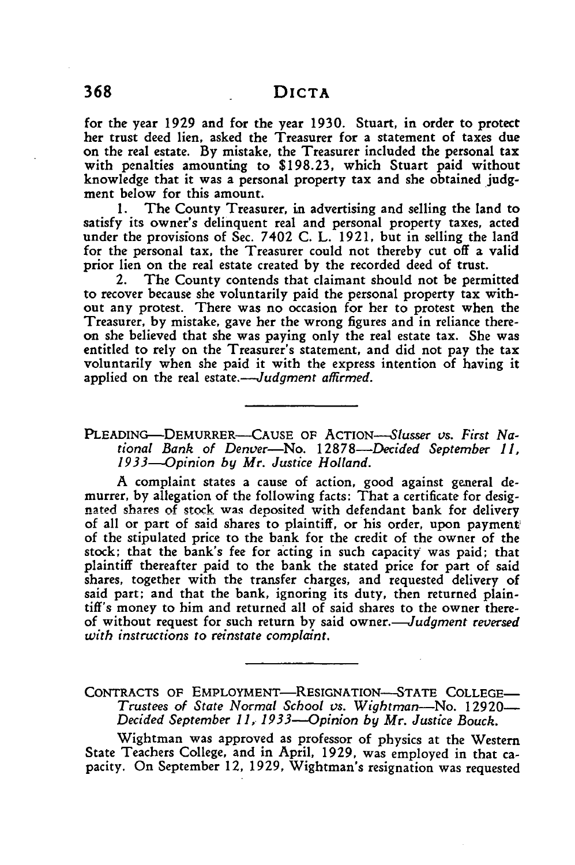for the year **1929** and for the year **1930.** Stuart, in order to protect her trust deed lien, asked the Treasurer for a statement of taxes due on the real estate. **By** mistake, the Treasurer included the personal tax with penalties amounting to \$198.23, which Stuart paid without knowledge that it was a personal property tax and she obtained judgment below for this amount.

1. The County Treasurer, in advertising and selling the land to satisfy its owner's delinquent real and personal property taxes, acted under the provisions of Sec. 7402 C. L. 1921, but in selling the land for the personal tax, the Treasurer could not thereby cut off a valid prior lien on the real estate created **by** the recorded deed of trust.

2. The County contends that claimant should not be permitted to recover because she voluntarily paid the personal property tax without any protest. There was no occasion for her to protest when the Treasurer, **by** mistake, gave her the wrong figures and in reliance thereon she believed that she was paying only the real estate tax. She was entitled to rely on the Treasurer's statement, and did not pay the tax voluntarily when she paid it with the express intention of having it applied on the real estate.-*-Judgment affirmed*.

**PLEADING-DEMURRER-CAUSE** OF ACTION-Slusser *vs. First National Bank of Denver-No. 12878-Decided September 11, 1933--Opinion by Mr. Justice Holland.*

A complaint states a cause of action, good against general demurrer, **by** allegation of the following facts: That a certificate for desig- **nated** sbare-s **of** stock was deposited with defendant bank for delivery of all or part of said shares to plaintiff, or his order, upon payment of the stipulated price to the bank for the credit of the owner of the stock; that the bank's fee for acting in such capacity was paid: that plaintiff thereafter paid to the bank the stated price for part of said shares, together with the transfer charges, and requested delivery of said part; and that the bank, ignoring its duty, then returned plaintiff's money to him and returned all of said shares to the owner thereof without request for such return **by** said *owner.-Judgment reversed with instructions to reinstate complaint.*

CONTRACTS OF EMPLOYMENT-RESIGNATION-STATE COLLEGE-*Trustees of State Normal School vs. Wightman-No.* **12920-** *Decided September I1, 1933--Opinion by Mr. Justice Bouck.*

Wightman was approved as professor of physics at the Western State Teachers College, and in April, 1929, was employed in that capacity. On September 12, 1929, Wightman's resignation was requested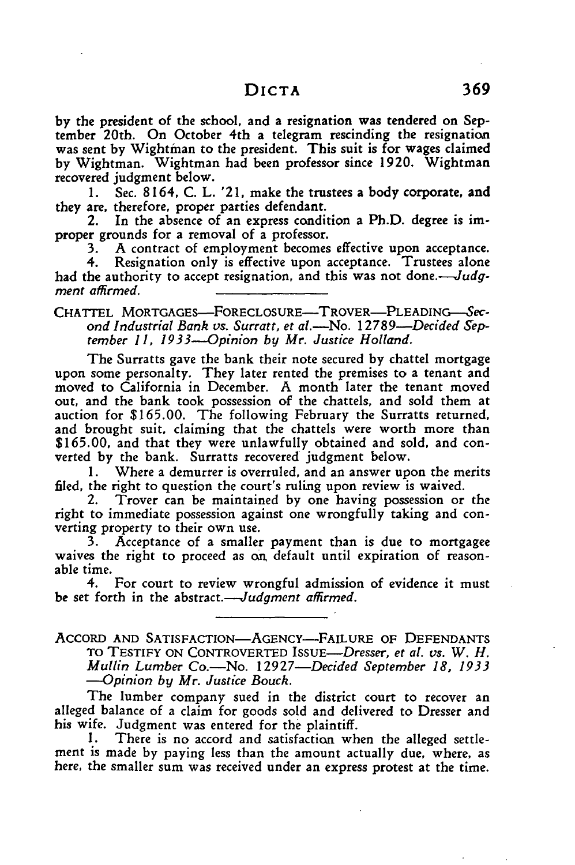**by** the president of the school, and a resignation was tendered on September 20th. On October 4th a telegram rescinding the resignation was sent by Wightman to the president. This suit is for wages claimed **by** Wightman. Wightman had been professor since 1920. Wightman recovered judgment below.

1. Sec. 8164, C. L. '21, make the trustees a body corporate, and they are, therefore, proper parties defendant.

2. In the absence of an express condition a Ph.D. degree is improper grounds for a removal of a professor.

**3.** A contract of employment becomes effective upon acceptance.

4. Resignation only is effective upon acceptance. Trustees alone had the authority to accept resignation, and this was not done.—Judg*ment affirmed.*

CHATTEL MORTGAGES-FORECLOSURE-TROVER-PLEADING-Sec*ond Industrial Bank vs. Surratt, et al.-No. 12789-Decided S'eptember 11, 1933--Opinion by Mr. Justice Holland.*

The Surratts gave the bank their note secured **by** chattel mortgage upon some personalty. They later rented the premises to a tenant and moved to California in December. **A** month later the tenant moved out, and the bank took possession of the chattels, and sold them at auction for **\$165.00.** The following February the Surratts returned, and brought suit, claiming that the chattels were worth more than **\$165.00,** and that they were unlawfully obtained and sold, and converted **by** the bank. Surratts recovered judgment below.

**1.** Where a demurrer is overruled, and an answer upon the merits filed, the right to question the court's ruling upon review is waived.

2. Trover can be maintained **by** one having possession or the right to immediate possession against one wrongfully taking and converting property to their own use.

**3.** Acceptance of a smaller payment than is due to mortgagee waives the right to proceed as on default until expiration of reasonable time.

4. For court to review wrongful admission of evidence it must be set forth in the abstract.—*Judgment affirmed*.

ACCORD AND SATISFACTION-AGENCY-FAILURE OF DEFENDANTS TO TESTIFY ON CONTROVERTED *ISSUE-Dresser, et al. vs. W. H. Mullin Lumber* Co.-No. *12927-Decided September 18, 1933 -- Opinion by Mr. Justice Bouck.*

The lumber company sued in the district court to recover an alleged balance of a claim for goods sold and delivered to Dresser and his wife. Judgment was entered for the plaintiff.

1. There is no accord and satisfaction when the alleged settlement is made by paying less than the amount actually due, where, as here, the smaller sum was received under an express protest at the time.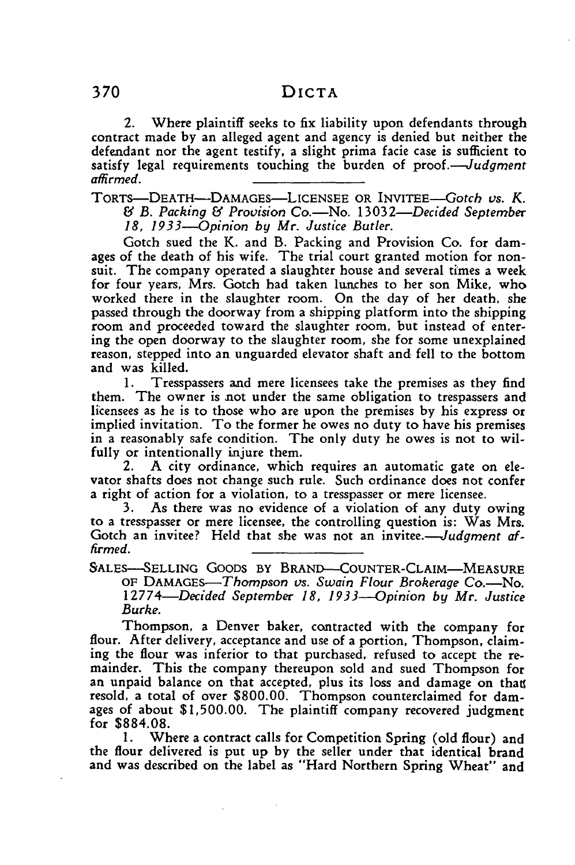2. Where plaintiff seeks to fix liability upon defendants through contract made **by** an alleged agent and agency is denied but neither the defendant nor the agent testify, a slight prima facie case is sufficient to satisfy legal requirements touching the burden of *proof.--Judgment affirmed.*

TORTS-DEATH-DAMAGES--LICENSEE OR *INVITEE-Gotch us. K. & B. Packing & Provision Co.-No. 13032-Decided September 18, 1933--Opinion by Mr. Justice Butler.*

Gotch sued the K. and B. Packing and Provision Co. for damages of the death of his wife. The trial court granted motion for nonsuit. The company operated a slaughter house and several times a week for four years, Mrs. Gotch had taken lunches to her son Mike, who worked there in the slaughter room. On the day of her death, she passed through the doorway from a shipping platform into the shipping room and proceeded toward the slaughter room, but instead of entering the open doorway to the slaughter room, she for some unexplained reason, stepped into an unguarded elevator shaft and fell to the bottom and was killed.

1. Tresspassers and mere licensees take the premises as they find them. The owner is not under the same obligation to trespassers and licensees as he is to those who are upon the premises by his express or implied invitation. To the former he owes no duty to have his premises in a reasonably safe condition. The only duty he owes is not to wilfully or intentionally injure them.

2. A city ordinance, which requires an automatic gate on elevator shafts does not change such rule. Such ordinance does not confer a right of action for a violation, to a tresspasser or mere licensee.

3. As there was no evidence of a violation of any duty owing to a tresspasser or mere licensee, the controlling question is: Was Mrs. Gotch an invitee? Held that she was not an invitee.—*Judgment affirmed.*

SALES-SELLING GOODS BY BRAND-COUNTER-CLAIM-MEASURE OF DAMAGES-Thompson *vs. Swain Flour Brokerage* Co.-No. *12774-Decided September 18, 1933--Opinion by Mr. Justice Burke.*

Thompson, a Denver baker, contracted with the company for flour. After delivery, acceptance and use of a portion, Thompson, claiming the flour was inferior to that purchased, refused to accept the remainder. This the company thereupon sold and sued Thompson for an unpaid balance on that accepted, plus its loss and damage on than resold, a total of over \$800.00. Thompson counterclaimed for damages of about \$1,500.00. The plaintiff company recovered judgment for \$884.08.

1. Where a contract calls for Competition Spring (old flour) and the flour delivered is put up by the seller under that identical brand and was described on the label as "Hard Northern Spring Wheat" and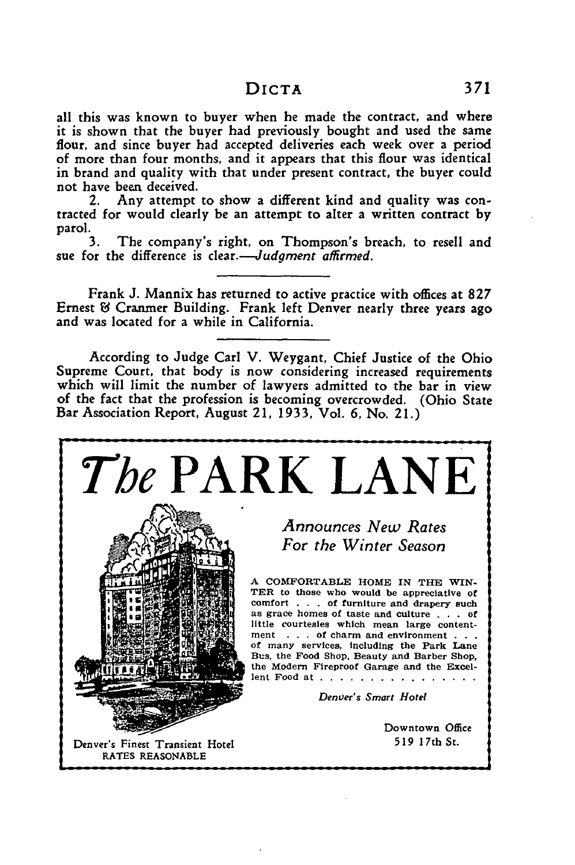all this was known to buyer when he made the contract, and where it is shown that the buyer had previously bought and used the same flour, and since buyer had accepted deliveries each week over a period of more than four months, and it appears that this flour was identical in brand and quality with that under present contract, the buyer could not have been deceived.

Any attempt to show a different kind and quality was contracted for would clearly be an attempt to alter a written contract **by** parol.

**3.** The company's right, on Thompson's breach, to resell and sue for the difference is *clear.-Judgment affirmed.*

Frank **J.** Mannix has returned to active practice with offices at **827** Ernest **&** Cranmer Building. Frank left Denver nearly three years ago and was located for a while in California.

According to Judge Carl V. Weygant, Chief Justice of the Ohio Supreme Court, that body is now considering increased requirements which will limit the number of lawyers admitted to the bar in view of the fact that the profession is becoming overcrowded. (Ohio State Bar Association Report, August 21, **1933,** Vol. **6,** No. **21.)**